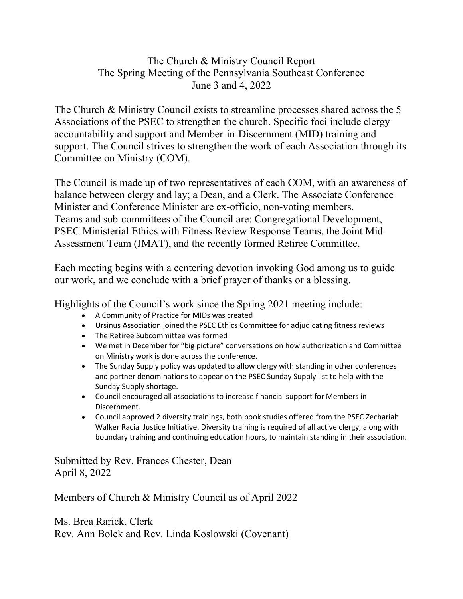## The Church & Ministry Council Report The Spring Meeting of the Pennsylvania Southeast Conference June 3 and 4, 2022

The Church & Ministry Council exists to streamline processes shared across the 5 Associations of the PSEC to strengthen the church. Specific foci include clergy accountability and support and Member-in-Discernment (MID) training and support. The Council strives to strengthen the work of each Association through its Committee on Ministry (COM).

The Council is made up of two representatives of each COM, with an awareness of balance between clergy and lay; a Dean, and a Clerk. The Associate Conference Minister and Conference Minister are ex-officio, non-voting members. Teams and sub-committees of the Council are: Congregational Development, PSEC Ministerial Ethics with Fitness Review Response Teams, the Joint Mid-Assessment Team (JMAT), and the recently formed Retiree Committee.

Each meeting begins with a centering devotion invoking God among us to guide our work, and we conclude with a brief prayer of thanks or a blessing.

Highlights of the Council's work since the Spring 2021 meeting include:

- A Community of Practice for MIDs was created
- Ursinus Association joined the PSEC Ethics Committee for adjudicating fitness reviews
- The Retiree Subcommittee was formed
- We met in December for "big picture" conversations on how authorization and Committee on Ministry work is done across the conference.
- The Sunday Supply policy was updated to allow clergy with standing in other conferences and partner denominations to appear on the PSEC Sunday Supply list to help with the Sunday Supply shortage.
- Council encouraged all associations to increase financial support for Members in Discernment.
- Council approved 2 diversity trainings, both book studies offered from the PSEC Zechariah Walker Racial Justice Initiative. Diversity training is required of all active clergy, along with boundary training and continuing education hours, to maintain standing in their association.

Submitted by Rev. Frances Chester, Dean April 8, 2022

Members of Church & Ministry Council as of April 2022

Ms. Brea Rarick, Clerk Rev. Ann Bolek and Rev. Linda Koslowski (Covenant)